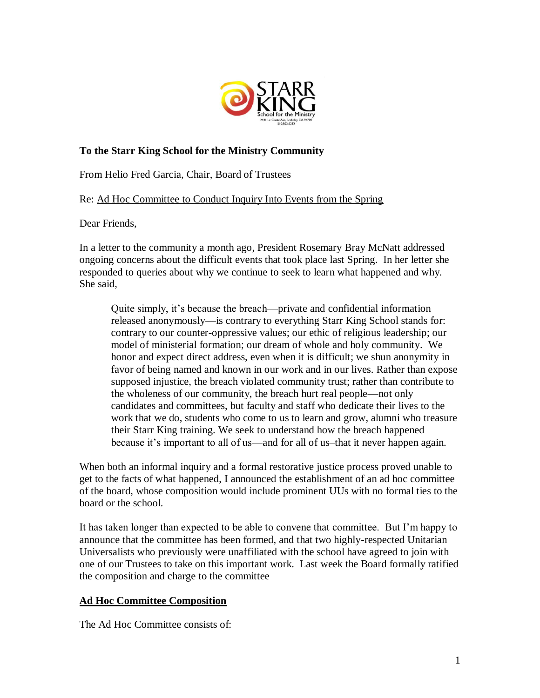

## **To the Starr King School for the Ministry Community**

From Helio Fred Garcia, Chair, Board of Trustees

Re: Ad Hoc Committee to Conduct Inquiry Into Events from the Spring

Dear Friends,

In a letter to the community a month ago, President Rosemary Bray McNatt addressed ongoing concerns about the difficult events that took place last Spring. In her letter she responded to queries about why we continue to seek to learn what happened and why. She said,

Quite simply, it's because the breach—private and confidential information released anonymously—is contrary to everything Starr King School stands for: contrary to our counter-oppressive values; our ethic of religious leadership; our model of ministerial formation; our dream of whole and holy community. We honor and expect direct address, even when it is difficult; we shun anonymity in favor of being named and known in our work and in our lives. Rather than expose supposed injustice, the breach violated community trust; rather than contribute to the wholeness of our community, the breach hurt real people—not only candidates and committees, but faculty and staff who dedicate their lives to the work that we do, students who come to us to learn and grow, alumni who treasure their Starr King training. We seek to understand how the breach happened because it's important to all of us—and for all of us–that it never happen again.

When both an informal inquiry and a formal restorative justice process proved unable to get to the facts of what happened, I announced the establishment of an ad hoc committee of the board, whose composition would include prominent UUs with no formal ties to the board or the school.

It has taken longer than expected to be able to convene that committee. But I'm happy to announce that the committee has been formed, and that two highly-respected Unitarian Universalists who previously were unaffiliated with the school have agreed to join with one of our Trustees to take on this important work. Last week the Board formally ratified the composition and charge to the committee

## **Ad Hoc Committee Composition**

The Ad Hoc Committee consists of: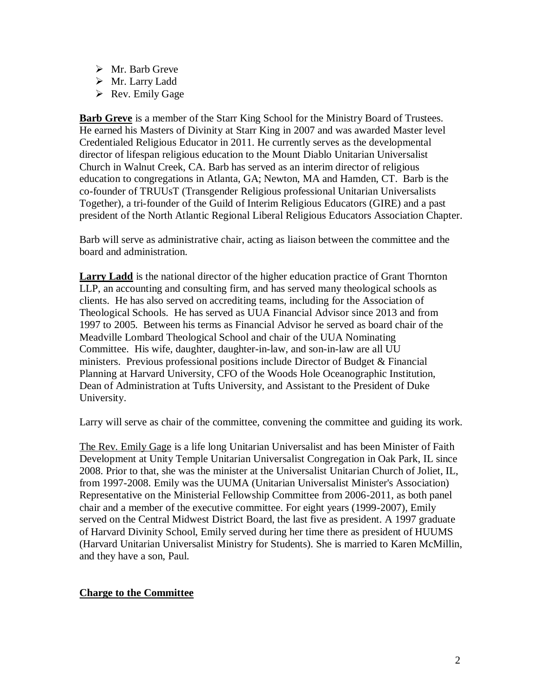- $\triangleright$  Mr. Barb Greve
- Mr. Larry Ladd
- $\triangleright$  Rev. Emily Gage

**Barb Greve** is a member of the Starr King School for the Ministry Board of Trustees. He earned his Masters of Divinity at Starr King in 2007 and was awarded Master level Credentialed Religious Educator in 2011. He currently serves as the developmental director of lifespan religious education to the Mount Diablo Unitarian Universalist Church in Walnut Creek, CA. Barb has served as an interim director of religious education to congregations in Atlanta, GA; Newton, MA and Hamden, CT. Barb is the co-founder of TRUUsT (Transgender Religious professional Unitarian Universalists Together), a tri-founder of the Guild of Interim Religious Educators (GIRE) and a past president of the North Atlantic Regional Liberal Religious Educators Association Chapter.

Barb will serve as administrative chair, acting as liaison between the committee and the board and administration.

**Larry Ladd** is the national director of the higher education practice of Grant Thornton LLP, an accounting and consulting firm, and has served many theological schools as clients. He has also served on accrediting teams, including for the Association of Theological Schools. He has served as UUA Financial Advisor since 2013 and from 1997 to 2005. Between his terms as Financial Advisor he served as board chair of the Meadville Lombard Theological School and chair of the UUA Nominating Committee. His wife, daughter, daughter-in-law, and son-in-law are all UU ministers. Previous professional positions include Director of Budget  $\&$  Financial Planning at Harvard University, CFO of the Woods Hole Oceanographic Institution, Dean of Administration at Tufts University, and Assistant to the President of Duke University.

Larry will serve as chair of the committee, convening the committee and guiding its work.

The Rev. Emily Gage is a life long Unitarian Universalist and has been Minister of Faith Development at Unity Temple Unitarian Universalist Congregation in Oak Park, IL since 2008. Prior to that, she was the minister at the Universalist Unitarian Church of Joliet, IL, from 1997-2008. Emily was the UUMA (Unitarian Universalist Minister's Association) Representative on the Ministerial Fellowship Committee from 2006-2011, as both panel chair and a member of the executive committee. For eight years (1999-2007), Emily served on the Central Midwest District Board, the last five as president. A 1997 graduate of Harvard Divinity School, Emily served during her time there as president of HUUMS (Harvard Unitarian Universalist Ministry for Students). She is married to Karen McMillin, and they have a son, Paul.

## **Charge to the Committee**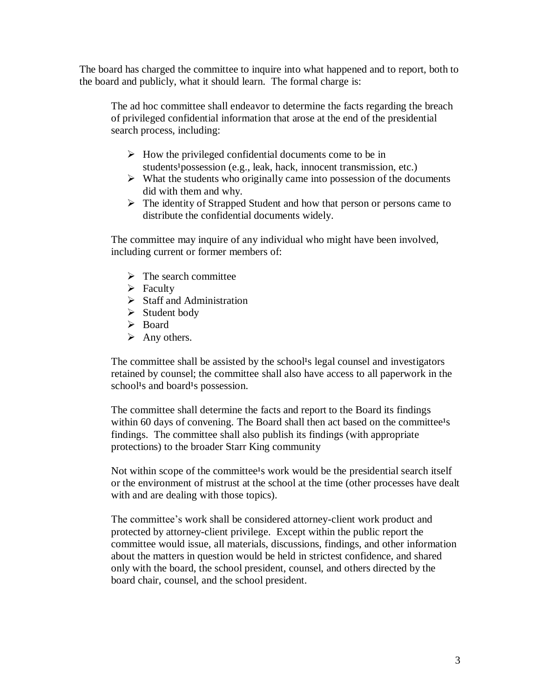The board has charged the committee to inquire into what happened and to report, both to the board and publicly, what it should learn. The formal charge is:

The ad hoc committee shall endeavor to determine the facts regarding the breach of privileged confidential information that arose at the end of the presidential search process, including:

- $\triangleright$  How the privileged confidential documents come to be in students<sup>1</sup> possession (e.g., leak, hack, innocent transmission, etc.)
- $\triangleright$  What the students who originally came into possession of the documents did with them and why.
- $\triangleright$  The identity of Strapped Student and how that person or persons came to distribute the confidential documents widely.

The committee may inquire of any individual who might have been involved, including current or former members of:

- $\triangleright$  The search committee
- $\triangleright$  Faculty
- $\triangleright$  Staff and Administration
- $\triangleright$  Student body
- > Board
- $\triangleright$  Any others.

The committee shall be assisted by the school's legal counsel and investigators retained by counsel; the committee shall also have access to all paperwork in the school<sup>1</sup>s and board<sup>1</sup>s possession.

The committee shall determine the facts and report to the Board its findings within 60 days of convening. The Board shall then act based on the committee<sup>1</sup>s findings. The committee shall also publish its findings (with appropriate protections) to the broader Starr King community

Not within scope of the committee<sup>1</sup>s work would be the presidential search itself or the environment of mistrust at the school at the time (other processes have dealt with and are dealing with those topics).

The committee's work shall be considered attorney-client work product and protected by attorney-client privilege. Except within the public report the committee would issue, all materials, discussions, findings, and other information about the matters in question would be held in strictest confidence, and shared only with the board, the school president, counsel, and others directed by the board chair, counsel, and the school president.